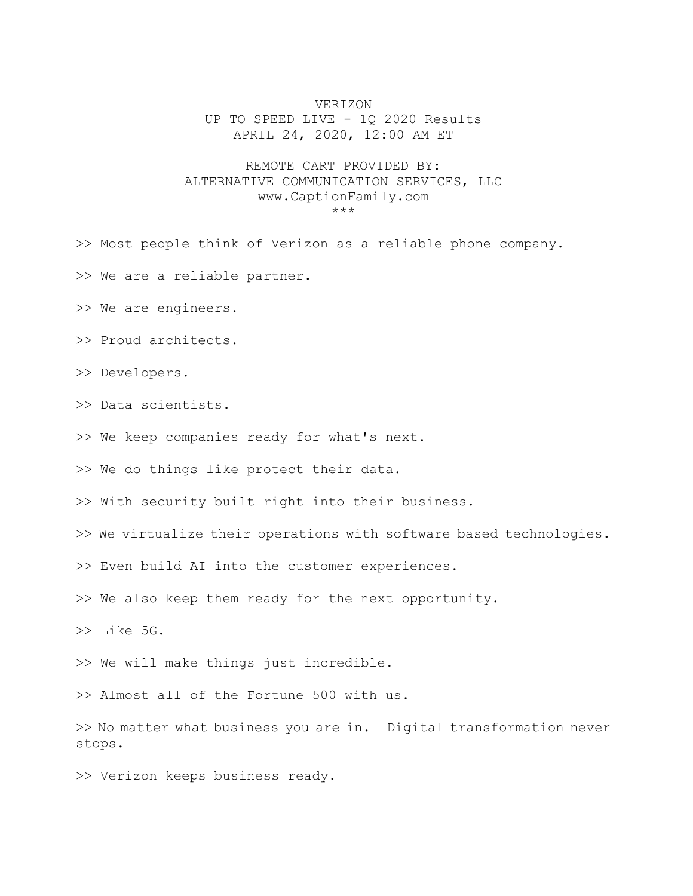## VERIZON

UP TO SPEED LIVE - 1Q 2020 Results APRIL 24, 2020, 12:00 AM ET

## REMOTE CART PROVIDED BY: ALTERNATIVE COMMUNICATION SERVICES, LLC www.CaptionFamily.com \*\*\*

>> Most people think of Verizon as a reliable phone company.

>> We are a reliable partner.

>> We are engineers.

>> Proud architects.

>> Developers.

>> Data scientists.

>> We keep companies ready for what's next.

>> We do things like protect their data.

>> With security built right into their business.

>> We virtualize their operations with software based technologies.

>> Even build AI into the customer experiences.

>> We also keep them ready for the next opportunity.

>> Like 5G.

>> We will make things just incredible.

>> Almost all of the Fortune 500 with us.

>> No matter what business you are in. Digital transformation never stops.

>> Verizon keeps business ready.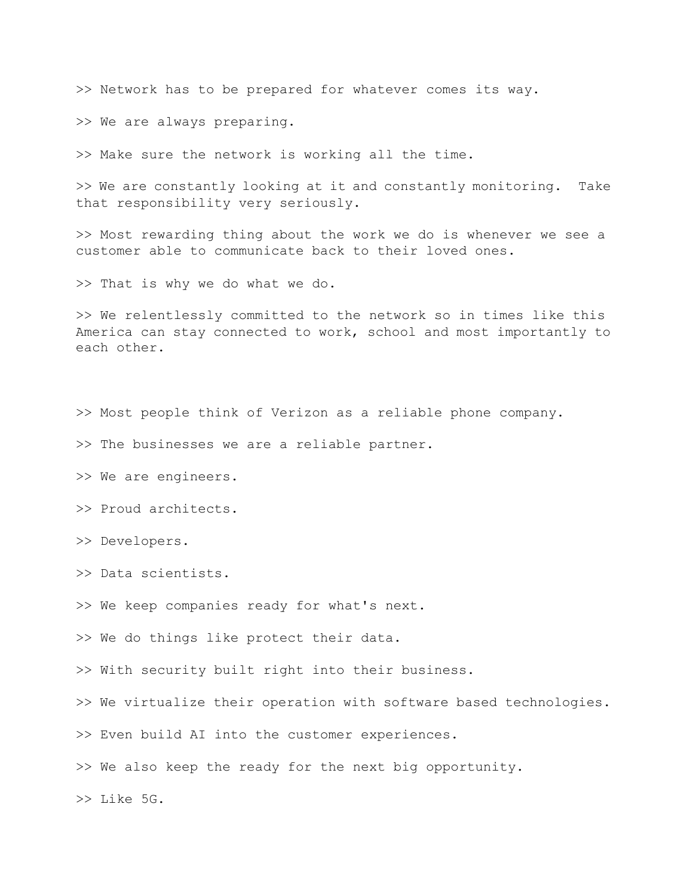>> Network has to be prepared for whatever comes its way.

>> We are always preparing.

>> Make sure the network is working all the time.

>> We are constantly looking at it and constantly monitoring. Take that responsibility very seriously.

>> Most rewarding thing about the work we do is whenever we see a customer able to communicate back to their loved ones.

>> That is why we do what we do.

>> We relentlessly committed to the network so in times like this America can stay connected to work, school and most importantly to each other.

>> Most people think of Verizon as a reliable phone company.

>> The businesses we are a reliable partner.

>> We are engineers.

>> Proud architects.

>> Developers.

>> Data scientists.

>> We keep companies ready for what's next.

>> We do things like protect their data.

>> With security built right into their business.

>> We virtualize their operation with software based technologies.

>> Even build AI into the customer experiences.

>> We also keep the ready for the next big opportunity.

>> Like 5G.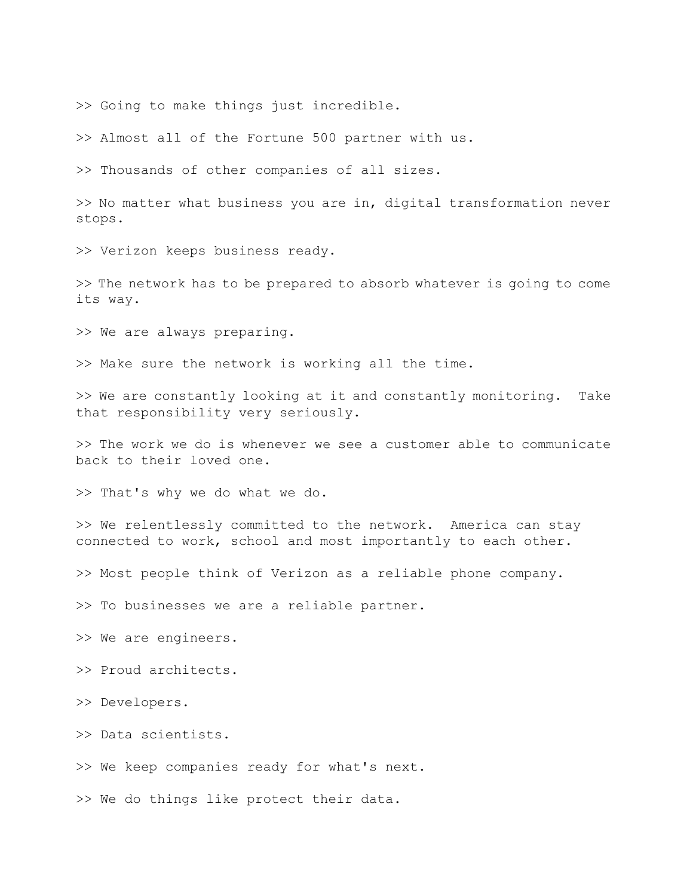>> Going to make things just incredible.

>> Almost all of the Fortune 500 partner with us.

>> Thousands of other companies of all sizes.

>> No matter what business you are in, digital transformation never stops.

>> Verizon keeps business ready.

>> The network has to be prepared to absorb whatever is going to come its way.

>> We are always preparing.

>> Make sure the network is working all the time.

>> We are constantly looking at it and constantly monitoring. Take that responsibility very seriously.

>> The work we do is whenever we see a customer able to communicate back to their loved one.

>> That's why we do what we do.

>> We relentlessly committed to the network. America can stay connected to work, school and most importantly to each other.

>> Most people think of Verizon as a reliable phone company.

>> To businesses we are a reliable partner.

>> We are engineers.

>> Proud architects.

>> Developers.

>> Data scientists.

>> We keep companies ready for what's next.

>> We do things like protect their data.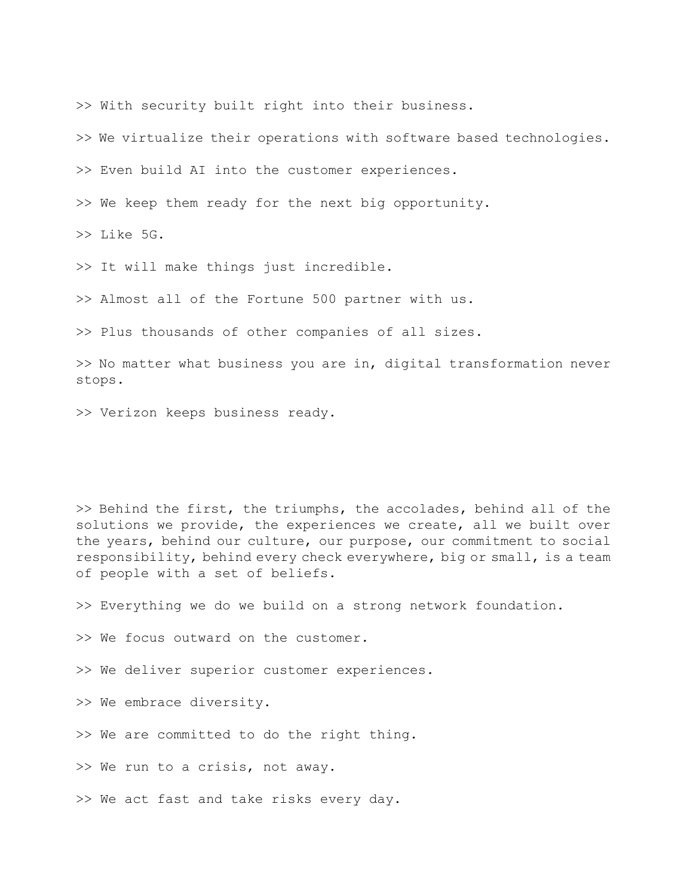>> With security built right into their business.

>> We virtualize their operations with software based technologies.

>> Even build AI into the customer experiences.

>> We keep them ready for the next big opportunity.

>> Like 5G.

>> It will make things just incredible.

>> Almost all of the Fortune 500 partner with us.

>> Plus thousands of other companies of all sizes.

>> No matter what business you are in, digital transformation never stops.

>> Verizon keeps business ready.

>> Behind the first, the triumphs, the accolades, behind all of the solutions we provide, the experiences we create, all we built over the years, behind our culture, our purpose, our commitment to social responsibility, behind every check everywhere, big or small, is a team of people with a set of beliefs.

>> Everything we do we build on a strong network foundation.

>> We focus outward on the customer.

>> We deliver superior customer experiences.

>> We embrace diversity.

>> We are committed to do the right thing.

>> We run to a crisis, not away.

>> We act fast and take risks every day.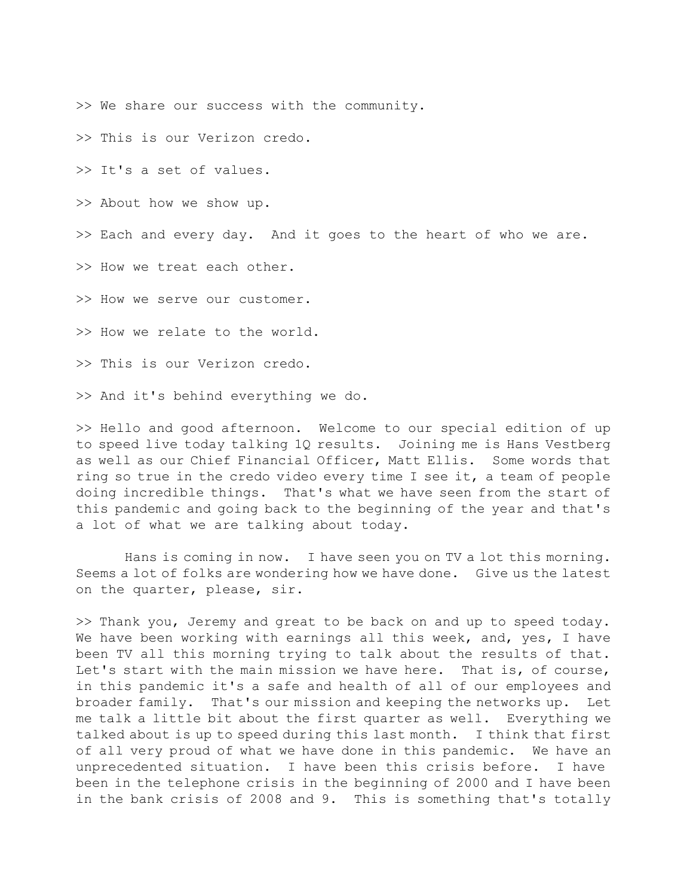>> We share our success with the community.

>> This is our Verizon credo.

>> It's a set of values.

>> About how we show up.

>> Each and every day. And it goes to the heart of who we are.

>> How we treat each other.

>> How we serve our customer.

>> How we relate to the world.

>> This is our Verizon credo.

>> And it's behind everything we do.

>> Hello and good afternoon. Welcome to our special edition of up to speed live today talking 1Q results. Joining me is Hans Vestberg as well as our Chief Financial Officer, Matt Ellis. Some words that ring so true in the credo video every time I see it, a team of people doing incredible things. That's what we have seen from the start of this pandemic and going back to the beginning of the year and that's a lot of what we are talking about today.

 Hans is coming in now. I have seen you on TV a lot this morning. Seems a lot of folks are wondering how we have done. Give us the latest on the quarter, please, sir.

>> Thank you, Jeremy and great to be back on and up to speed today. We have been working with earnings all this week, and, yes, I have been TV all this morning trying to talk about the results of that. Let's start with the main mission we have here. That is, of course, in this pandemic it's a safe and health of all of our employees and broader family. That's our mission and keeping the networks up. Let me talk a little bit about the first quarter as well. Everything we talked about is up to speed during this last month. I think that first of all very proud of what we have done in this pandemic. We have an unprecedented situation. I have been this crisis before. I have been in the telephone crisis in the beginning of 2000 and I have been in the bank crisis of 2008 and 9. This is something that's totally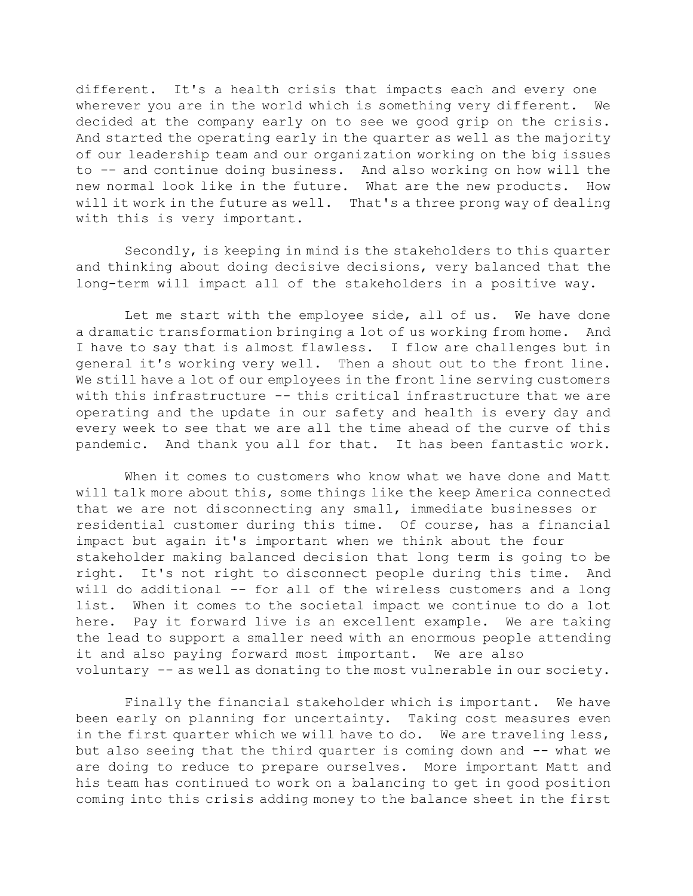different. It's a health crisis that impacts each and every one wherever you are in the world which is something very different. We decided at the company early on to see we good grip on the crisis. And started the operating early in the quarter as well as the majority of our leadership team and our organization working on the big issues to -- and continue doing business. And also working on how will the new normal look like in the future. What are the new products. How will it work in the future as well. That's a three prong way of dealing with this is very important.

 Secondly, is keeping in mind is the stakeholders to this quarter and thinking about doing decisive decisions, very balanced that the long-term will impact all of the stakeholders in a positive way.

 Let me start with the employee side, all of us. We have done a dramatic transformation bringing a lot of us working from home. And I have to say that is almost flawless. I flow are challenges but in general it's working very well. Then a shout out to the front line. We still have a lot of our employees in the front line serving customers with this infrastructure -- this critical infrastructure that we are operating and the update in our safety and health is every day and every week to see that we are all the time ahead of the curve of this pandemic. And thank you all for that. It has been fantastic work.

 When it comes to customers who know what we have done and Matt will talk more about this, some things like the keep America connected that we are not disconnecting any small, immediate businesses or residential customer during this time. Of course, has a financial impact but again it's important when we think about the four stakeholder making balanced decision that long term is going to be right. It's not right to disconnect people during this time. And will do additional -- for all of the wireless customers and a long list. When it comes to the societal impact we continue to do a lot here. Pay it forward live is an excellent example. We are taking the lead to support a smaller need with an enormous people attending it and also paying forward most important. We are also voluntary -- as well as donating to the most vulnerable in our society.

 Finally the financial stakeholder which is important. We have been early on planning for uncertainty. Taking cost measures even in the first quarter which we will have to do. We are traveling less, but also seeing that the third quarter is coming down and -- what we are doing to reduce to prepare ourselves. More important Matt and his team has continued to work on a balancing to get in good position coming into this crisis adding money to the balance sheet in the first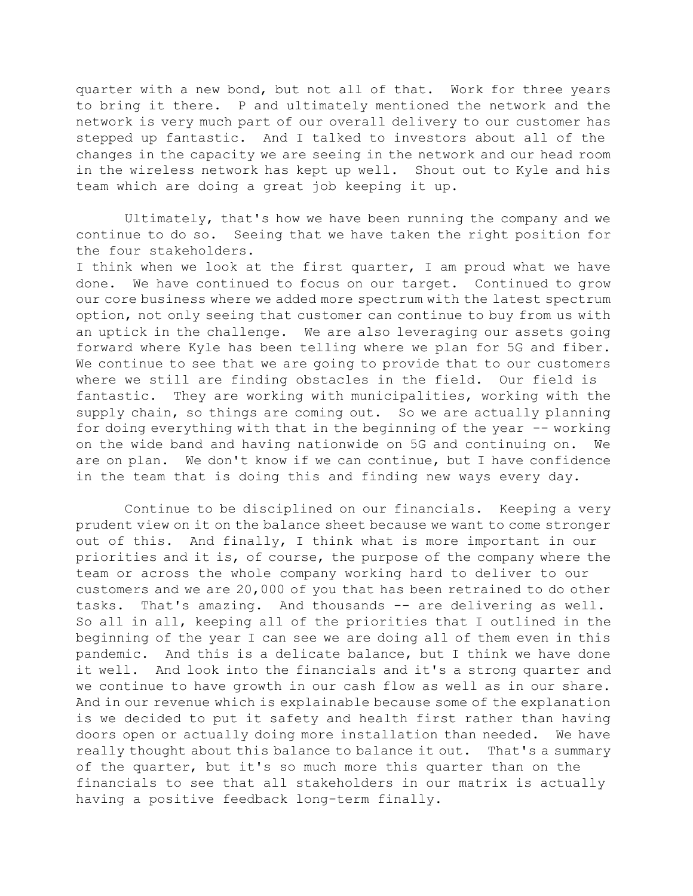quarter with a new bond, but not all of that. Work for three years to bring it there. P and ultimately mentioned the network and the network is very much part of our overall delivery to our customer has stepped up fantastic. And I talked to investors about all of the changes in the capacity we are seeing in the network and our head room in the wireless network has kept up well. Shout out to Kyle and his team which are doing a great job keeping it up.

 Ultimately, that's how we have been running the company and we continue to do so. Seeing that we have taken the right position for the four stakeholders.

I think when we look at the first quarter, I am proud what we have done. We have continued to focus on our target. Continued to grow our core business where we added more spectrum with the latest spectrum option, not only seeing that customer can continue to buy from us with an uptick in the challenge. We are also leveraging our assets going forward where Kyle has been telling where we plan for 5G and fiber. We continue to see that we are going to provide that to our customers where we still are finding obstacles in the field. Our field is fantastic. They are working with municipalities, working with the supply chain, so things are coming out. So we are actually planning for doing everything with that in the beginning of the year -- working on the wide band and having nationwide on 5G and continuing on. We are on plan. We don't know if we can continue, but I have confidence in the team that is doing this and finding new ways every day.

 Continue to be disciplined on our financials. Keeping a very prudent view on it on the balance sheet because we want to come stronger out of this. And finally, I think what is more important in our priorities and it is, of course, the purpose of the company where the team or across the whole company working hard to deliver to our customers and we are 20,000 of you that has been retrained to do other tasks. That's amazing. And thousands -- are delivering as well. So all in all, keeping all of the priorities that I outlined in the beginning of the year I can see we are doing all of them even in this pandemic. And this is a delicate balance, but I think we have done it well. And look into the financials and it's a strong quarter and we continue to have growth in our cash flow as well as in our share. And in our revenue which is explainable because some of the explanation is we decided to put it safety and health first rather than having doors open or actually doing more installation than needed. We have really thought about this balance to balance it out. That's a summary of the quarter, but it's so much more this quarter than on the financials to see that all stakeholders in our matrix is actually having a positive feedback long-term finally.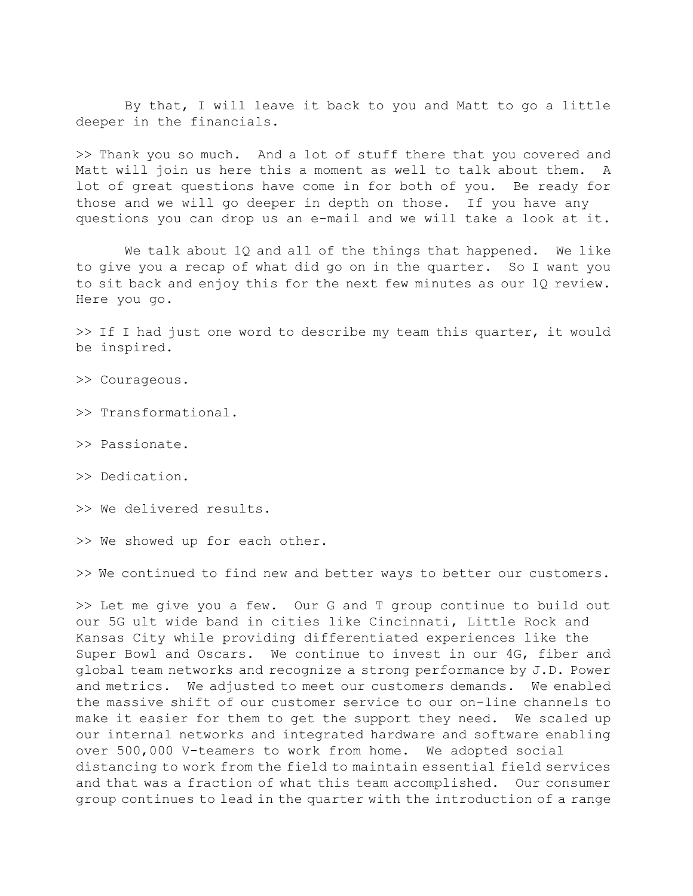By that, I will leave it back to you and Matt to go a little deeper in the financials.

>> Thank you so much. And a lot of stuff there that you covered and Matt will join us here this a moment as well to talk about them. A lot of great questions have come in for both of you. Be ready for those and we will go deeper in depth on those. If you have any questions you can drop us an e-mail and we will take a look at it.

 We talk about 1Q and all of the things that happened. We like to give you a recap of what did go on in the quarter. So I want you to sit back and enjoy this for the next few minutes as our 1Q review. Here you go.

>> If I had just one word to describe my team this quarter, it would be inspired.

- >> Courageous.
- >> Transformational.
- >> Passionate.
- >> Dedication.
- >> We delivered results.
- >> We showed up for each other.

>> We continued to find new and better ways to better our customers.

>> Let me give you a few. Our G and T group continue to build out our 5G ult wide band in cities like Cincinnati, Little Rock and Kansas City while providing differentiated experiences like the Super Bowl and Oscars. We continue to invest in our 4G, fiber and global team networks and recognize a strong performance by J.D. Power and metrics. We adjusted to meet our customers demands. We enabled the massive shift of our customer service to our on-line channels to make it easier for them to get the support they need. We scaled up our internal networks and integrated hardware and software enabling over 500,000 V-teamers to work from home. We adopted social distancing to work from the field to maintain essential field services and that was a fraction of what this team accomplished. Our consumer group continues to lead in the quarter with the introduction of a range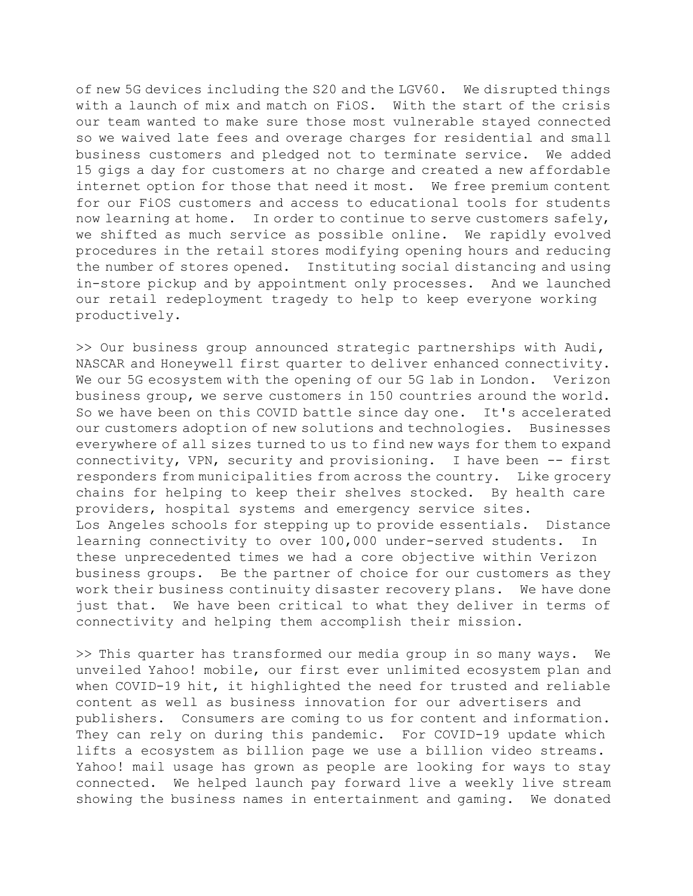of new 5G devices including the S20 and the LGV60. We disrupted things with a launch of mix and match on FiOS. With the start of the crisis our team wanted to make sure those most vulnerable stayed connected so we waived late fees and overage charges for residential and small business customers and pledged not to terminate service. We added 15 gigs a day for customers at no charge and created a new affordable internet option for those that need it most. We free premium content for our FiOS customers and access to educational tools for students now learning at home. In order to continue to serve customers safely, we shifted as much service as possible online. We rapidly evolved procedures in the retail stores modifying opening hours and reducing the number of stores opened. Instituting social distancing and using in-store pickup and by appointment only processes. And we launched our retail redeployment tragedy to help to keep everyone working productively.

>> Our business group announced strategic partnerships with Audi, NASCAR and Honeywell first quarter to deliver enhanced connectivity. We our 5G ecosystem with the opening of our 5G lab in London. Verizon business group, we serve customers in 150 countries around the world. So we have been on this COVID battle since day one. It's accelerated our customers adoption of new solutions and technologies. Businesses everywhere of all sizes turned to us to find new ways for them to expand connectivity, VPN, security and provisioning. I have been -- first responders from municipalities from across the country. Like grocery chains for helping to keep their shelves stocked. By health care providers, hospital systems and emergency service sites. Los Angeles schools for stepping up to provide essentials. Distance learning connectivity to over 100,000 under-served students. In these unprecedented times we had a core objective within Verizon business groups. Be the partner of choice for our customers as they work their business continuity disaster recovery plans. We have done just that. We have been critical to what they deliver in terms of connectivity and helping them accomplish their mission.

>> This quarter has transformed our media group in so many ways. We unveiled Yahoo! mobile, our first ever unlimited ecosystem plan and when COVID-19 hit, it highlighted the need for trusted and reliable content as well as business innovation for our advertisers and publishers. Consumers are coming to us for content and information. They can rely on during this pandemic. For COVID-19 update which lifts a ecosystem as billion page we use a billion video streams. Yahoo! mail usage has grown as people are looking for ways to stay connected. We helped launch pay forward live a weekly live stream showing the business names in entertainment and gaming. We donated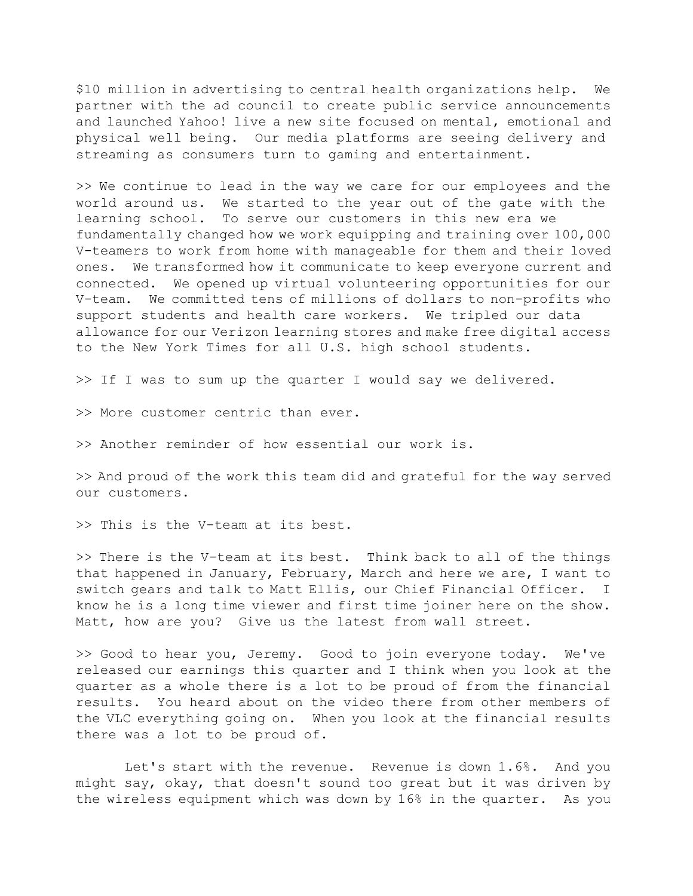\$10 million in advertising to central health organizations help. We partner with the ad council to create public service announcements and launched Yahoo! live a new site focused on mental, emotional and physical well being. Our media platforms are seeing delivery and streaming as consumers turn to gaming and entertainment.

>> We continue to lead in the way we care for our employees and the world around us. We started to the year out of the gate with the learning school. To serve our customers in this new era we fundamentally changed how we work equipping and training over 100,000 V-teamers to work from home with manageable for them and their loved ones. We transformed how it communicate to keep everyone current and connected. We opened up virtual volunteering opportunities for our V-team. We committed tens of millions of dollars to non-profits who support students and health care workers. We tripled our data allowance for our Verizon learning stores and make free digital access to the New York Times for all U.S. high school students.

>> If I was to sum up the quarter I would say we delivered.

>> More customer centric than ever.

>> Another reminder of how essential our work is.

>> And proud of the work this team did and grateful for the way served our customers.

>> This is the V-team at its best.

>> There is the V-team at its best. Think back to all of the things that happened in January, February, March and here we are, I want to switch gears and talk to Matt Ellis, our Chief Financial Officer. I know he is a long time viewer and first time joiner here on the show. Matt, how are you? Give us the latest from wall street.

>> Good to hear you, Jeremy. Good to join everyone today. We've released our earnings this quarter and I think when you look at the quarter as a whole there is a lot to be proud of from the financial results. You heard about on the video there from other members of the VLC everything going on. When you look at the financial results there was a lot to be proud of.

 Let's start with the revenue. Revenue is down 1.6%. And you might say, okay, that doesn't sound too great but it was driven by the wireless equipment which was down by 16% in the quarter. As you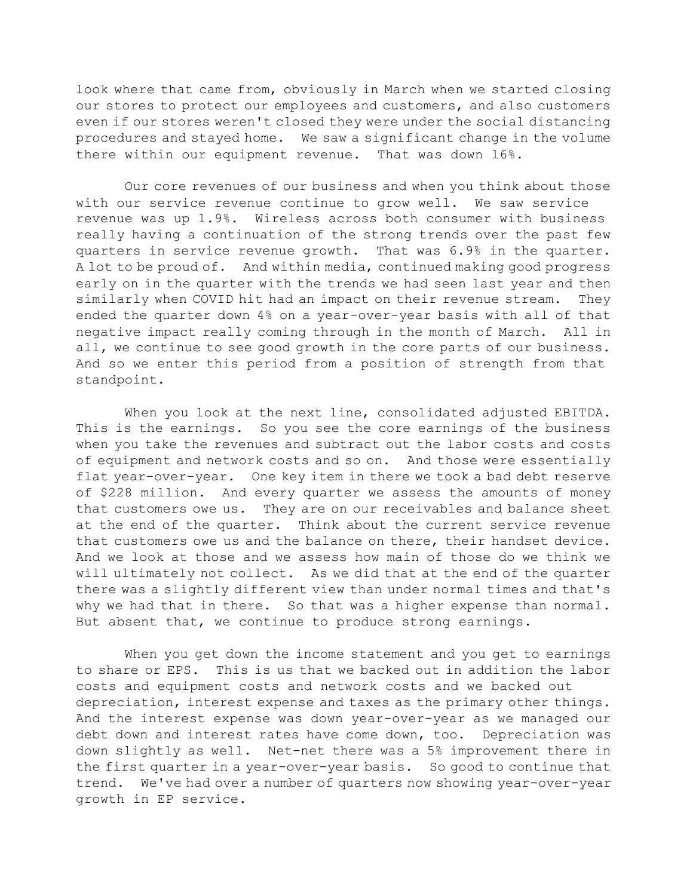look where that came from, obviously in March when we started closing our stores to protect our employees and customers, and also customers even if our stores weren't closed they were under the social distancing procedures and stayed home. We saw a significant change in the volume there within our equipment revenue. That was down 16%.

 Our core revenues of our business and when you think about those with our service revenue continue to grow well. We saw service revenue was up 1.9%. Wireless across both consumer with business really having a continuation of the strong trends over the past few quarters in service revenue growth. That was 6.9% in the quarter. A lot to be proud of. And within media, continued making good progress early on in the quarter with the trends we had seen last year and then similarly when COVID hit had an impact on their revenue stream. They ended the quarter down 4% on a year-over-year basis with all of that negative impact really coming through in the month of March. All in all, we continue to see good growth in the core parts of our business. And so we enter this period from a position of strength from that standpoint.

 When you look at the next line, consolidated adjusted EBITDA. This is the earnings. So you see the core earnings of the business when you take the revenues and subtract out the labor costs and costs of equipment and network costs and so on. And those were essentially flat year-over-year. One key item in there we took a bad debt reserve of \$228 million. And every quarter we assess the amounts of money that customers owe us. They are on our receivables and balance sheet at the end of the quarter. Think about the current service revenue that customers owe us and the balance on there, their handset device. And we look at those and we assess how main of those do we think we will ultimately not collect. As we did that at the end of the quarter there was a slightly different view than under normal times and that's why we had that in there. So that was a higher expense than normal. But absent that, we continue to produce strong earnings.

 When you get down the income statement and you get to earnings to share or EPS. This is us that we backed out in addition the labor costs and equipment costs and network costs and we backed out depreciation, interest expense and taxes as the primary other things. And the interest expense was down year-over-year as we managed our debt down and interest rates have come down, too. Depreciation was down slightly as well. Net-net there was a 5% improvement there in the first quarter in a year-over-year basis. So good to continue that trend. We've had over a number of quarters now showing year-over-year growth in EP service.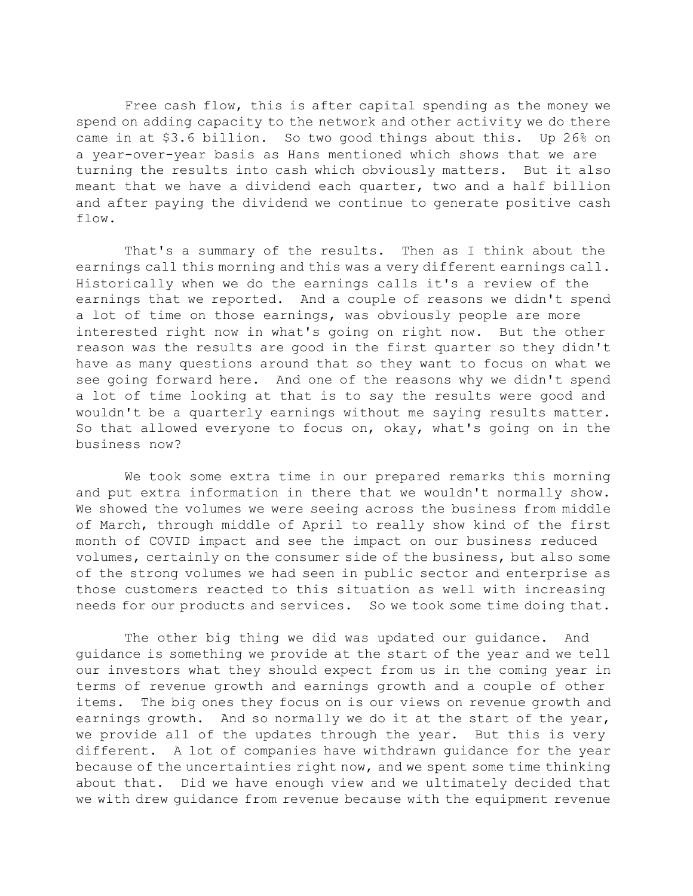Free cash flow, this is after capital spending as the money we spend on adding capacity to the network and other activity we do there came in at \$3.6 billion. So two good things about this. Up 26% on a year-over-year basis as Hans mentioned which shows that we are turning the results into cash which obviously matters. But it also meant that we have a dividend each quarter, two and a half billion and after paying the dividend we continue to generate positive cash flow.

 That's a summary of the results. Then as I think about the earnings call this morning and this was a very different earnings call. Historically when we do the earnings calls it's a review of the earnings that we reported. And a couple of reasons we didn't spend a lot of time on those earnings, was obviously people are more interested right now in what's going on right now. But the other reason was the results are good in the first quarter so they didn't have as many questions around that so they want to focus on what we see going forward here. And one of the reasons why we didn't spend a lot of time looking at that is to say the results were good and wouldn't be a quarterly earnings without me saying results matter. So that allowed everyone to focus on, okay, what's going on in the business now?

 We took some extra time in our prepared remarks this morning and put extra information in there that we wouldn't normally show. We showed the volumes we were seeing across the business from middle of March, through middle of April to really show kind of the first month of COVID impact and see the impact on our business reduced volumes, certainly on the consumer side of the business, but also some of the strong volumes we had seen in public sector and enterprise as those customers reacted to this situation as well with increasing needs for our products and services. So we took some time doing that.

 The other big thing we did was updated our guidance. And guidance is something we provide at the start of the year and we tell our investors what they should expect from us in the coming year in terms of revenue growth and earnings growth and a couple of other items. The big ones they focus on is our views on revenue growth and earnings growth. And so normally we do it at the start of the year, we provide all of the updates through the year. But this is very different. A lot of companies have withdrawn guidance for the year because of the uncertainties right now, and we spent some time thinking about that. Did we have enough view and we ultimately decided that we with drew guidance from revenue because with the equipment revenue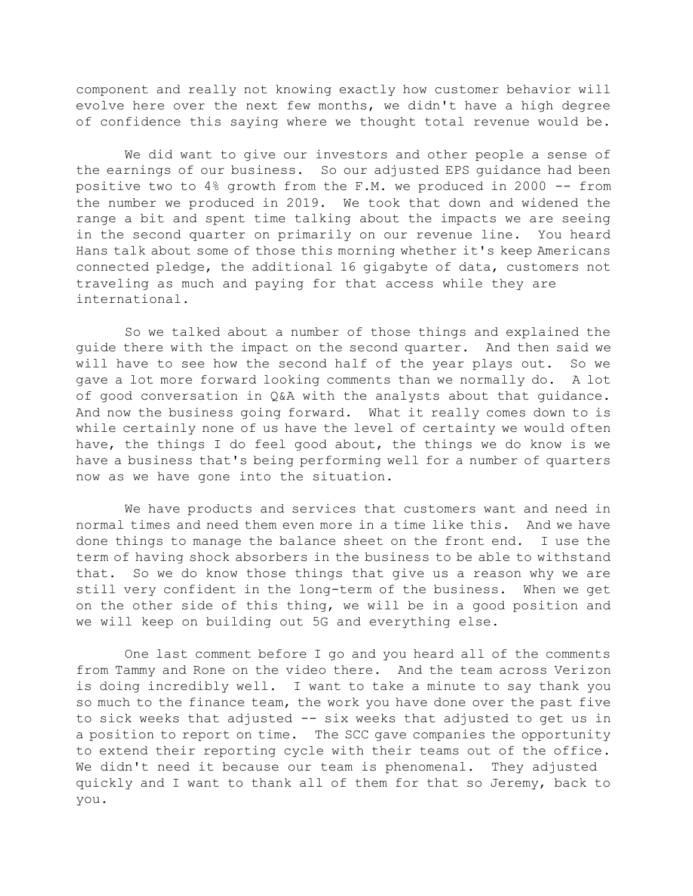component and really not knowing exactly how customer behavior will evolve here over the next few months, we didn't have a high degree of confidence this saying where we thought total revenue would be.

 We did want to give our investors and other people a sense of the earnings of our business. So our adjusted EPS guidance had been positive two to 4% growth from the F.M. we produced in 2000 -- from the number we produced in 2019. We took that down and widened the range a bit and spent time talking about the impacts we are seeing in the second quarter on primarily on our revenue line. You heard Hans talk about some of those this morning whether it's keep Americans connected pledge, the additional 16 gigabyte of data, customers not traveling as much and paying for that access while they are international.

 So we talked about a number of those things and explained the guide there with the impact on the second quarter. And then said we will have to see how the second half of the year plays out. So we gave a lot more forward looking comments than we normally do. A lot of good conversation in Q&A with the analysts about that guidance. And now the business going forward. What it really comes down to is while certainly none of us have the level of certainty we would often have, the things I do feel good about, the things we do know is we have a business that's being performing well for a number of quarters now as we have gone into the situation.

 We have products and services that customers want and need in normal times and need them even more in a time like this. And we have done things to manage the balance sheet on the front end. I use the term of having shock absorbers in the business to be able to withstand that. So we do know those things that give us a reason why we are still very confident in the long-term of the business. When we get on the other side of this thing, we will be in a good position and we will keep on building out 5G and everything else.

 One last comment before I go and you heard all of the comments from Tammy and Rone on the video there. And the team across Verizon is doing incredibly well. I want to take a minute to say thank you so much to the finance team, the work you have done over the past five to sick weeks that adjusted -- six weeks that adjusted to get us in a position to report on time. The SCC gave companies the opportunity to extend their reporting cycle with their teams out of the office. We didn't need it because our team is phenomenal. They adjusted quickly and I want to thank all of them for that so Jeremy, back to you.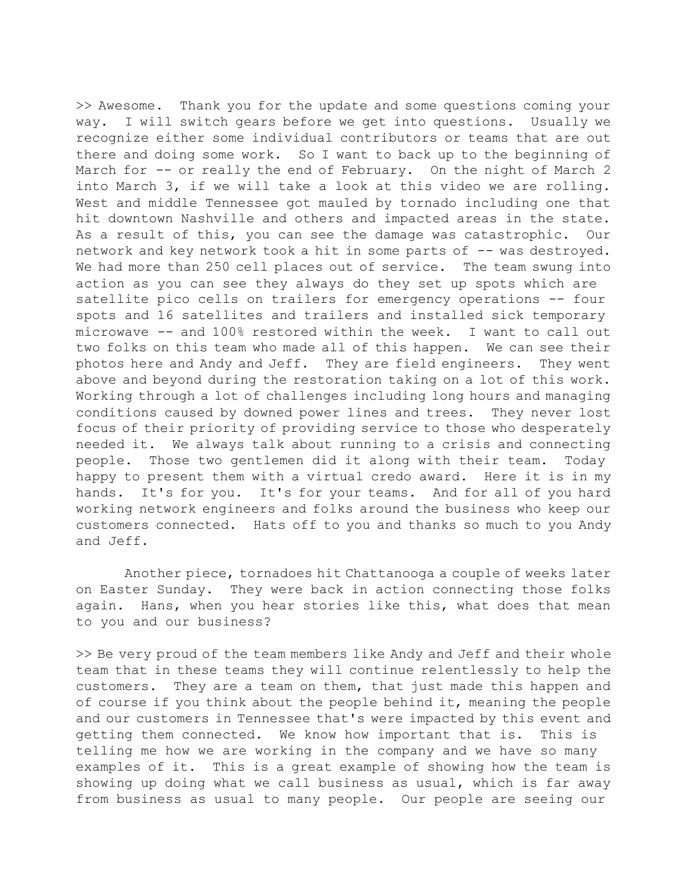>> Awesome. Thank you for the update and some questions coming your way. I will switch gears before we get into questions. Usually we recognize either some individual contributors or teams that are out there and doing some work. So I want to back up to the beginning of March for -- or really the end of February. On the night of March 2 into March 3, if we will take a look at this video we are rolling. West and middle Tennessee got mauled by tornado including one that hit downtown Nashville and others and impacted areas in the state. As a result of this, you can see the damage was catastrophic. Our network and key network took a hit in some parts of -- was destroyed. We had more than 250 cell places out of service. The team swung into action as you can see they always do they set up spots which are satellite pico cells on trailers for emergency operations -- four spots and 16 satellites and trailers and installed sick temporary microwave -- and 100% restored within the week. I want to call out two folks on this team who made all of this happen. We can see their photos here and Andy and Jeff. They are field engineers. They went above and beyond during the restoration taking on a lot of this work. Working through a lot of challenges including long hours and managing conditions caused by downed power lines and trees. They never lost focus of their priority of providing service to those who desperately needed it. We always talk about running to a crisis and connecting people. Those two gentlemen did it along with their team. Today happy to present them with a virtual credo award. Here it is in my hands. It's for you. It's for your teams. And for all of you hard working network engineers and folks around the business who keep our customers connected. Hats off to you and thanks so much to you Andy and Jeff.

 Another piece, tornadoes hit Chattanooga a couple of weeks later on Easter Sunday. They were back in action connecting those folks again. Hans, when you hear stories like this, what does that mean to you and our business?

>> Be very proud of the team members like Andy and Jeff and their whole team that in these teams they will continue relentlessly to help the customers. They are a team on them, that just made this happen and of course if you think about the people behind it, meaning the people and our customers in Tennessee that's were impacted by this event and getting them connected. We know how important that is. This is telling me how we are working in the company and we have so many examples of it. This is a great example of showing how the team is showing up doing what we call business as usual, which is far away from business as usual to many people. Our people are seeing our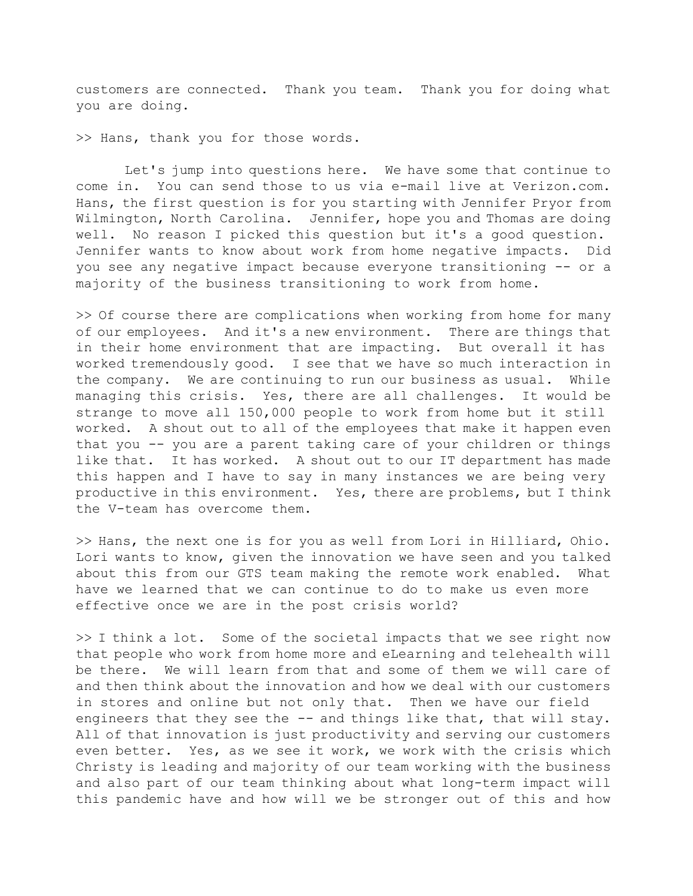customers are connected. Thank you team. Thank you for doing what you are doing.

>> Hans, thank you for those words.

 Let's jump into questions here. We have some that continue to come in. You can send those to us via e-mail live at Verizon.com. Hans, the first question is for you starting with Jennifer Pryor from Wilmington, North Carolina. Jennifer, hope you and Thomas are doing well. No reason I picked this question but it's a good question. Jennifer wants to know about work from home negative impacts. Did you see any negative impact because everyone transitioning -- or a majority of the business transitioning to work from home.

>> Of course there are complications when working from home for many of our employees. And it's a new environment. There are things that in their home environment that are impacting. But overall it has worked tremendously good. I see that we have so much interaction in the company. We are continuing to run our business as usual. While managing this crisis. Yes, there are all challenges. It would be strange to move all 150,000 people to work from home but it still worked. A shout out to all of the employees that make it happen even that you -- you are a parent taking care of your children or things like that. It has worked. A shout out to our IT department has made this happen and I have to say in many instances we are being very productive in this environment. Yes, there are problems, but I think the V-team has overcome them.

>> Hans, the next one is for you as well from Lori in Hilliard, Ohio. Lori wants to know, given the innovation we have seen and you talked about this from our GTS team making the remote work enabled. What have we learned that we can continue to do to make us even more effective once we are in the post crisis world?

>> I think a lot. Some of the societal impacts that we see right now that people who work from home more and eLearning and telehealth will be there. We will learn from that and some of them we will care of and then think about the innovation and how we deal with our customers in stores and online but not only that. Then we have our field engineers that they see the -- and things like that, that will stay. All of that innovation is just productivity and serving our customers even better. Yes, as we see it work, we work with the crisis which Christy is leading and majority of our team working with the business and also part of our team thinking about what long-term impact will this pandemic have and how will we be stronger out of this and how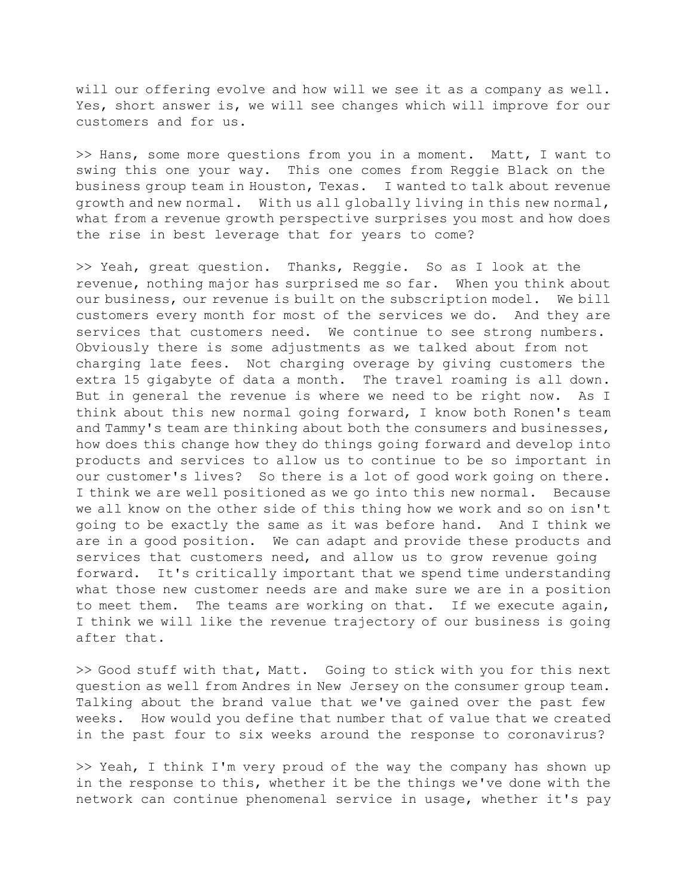will our offering evolve and how will we see it as a company as well. Yes, short answer is, we will see changes which will improve for our customers and for us.

>> Hans, some more questions from you in a moment. Matt, I want to swing this one your way. This one comes from Reggie Black on the business group team in Houston, Texas. I wanted to talk about revenue growth and new normal. With us all globally living in this new normal, what from a revenue growth perspective surprises you most and how does the rise in best leverage that for years to come?

>> Yeah, great question. Thanks, Reggie. So as I look at the revenue, nothing major has surprised me so far. When you think about our business, our revenue is built on the subscription model. We bill customers every month for most of the services we do. And they are services that customers need. We continue to see strong numbers. Obviously there is some adjustments as we talked about from not charging late fees. Not charging overage by giving customers the extra 15 gigabyte of data a month. The travel roaming is all down. But in general the revenue is where we need to be right now. As I think about this new normal going forward, I know both Ronen's team and Tammy's team are thinking about both the consumers and businesses, how does this change how they do things going forward and develop into products and services to allow us to continue to be so important in our customer's lives? So there is a lot of good work going on there. I think we are well positioned as we go into this new normal. Because we all know on the other side of this thing how we work and so on isn't going to be exactly the same as it was before hand. And I think we are in a good position. We can adapt and provide these products and services that customers need, and allow us to grow revenue going forward. It's critically important that we spend time understanding what those new customer needs are and make sure we are in a position to meet them. The teams are working on that. If we execute again, I think we will like the revenue trajectory of our business is going after that.

>> Good stuff with that, Matt. Going to stick with you for this next question as well from Andres in New Jersey on the consumer group team. Talking about the brand value that we've gained over the past few weeks. How would you define that number that of value that we created in the past four to six weeks around the response to coronavirus?

>> Yeah, I think I'm very proud of the way the company has shown up in the response to this, whether it be the things we've done with the network can continue phenomenal service in usage, whether it's pay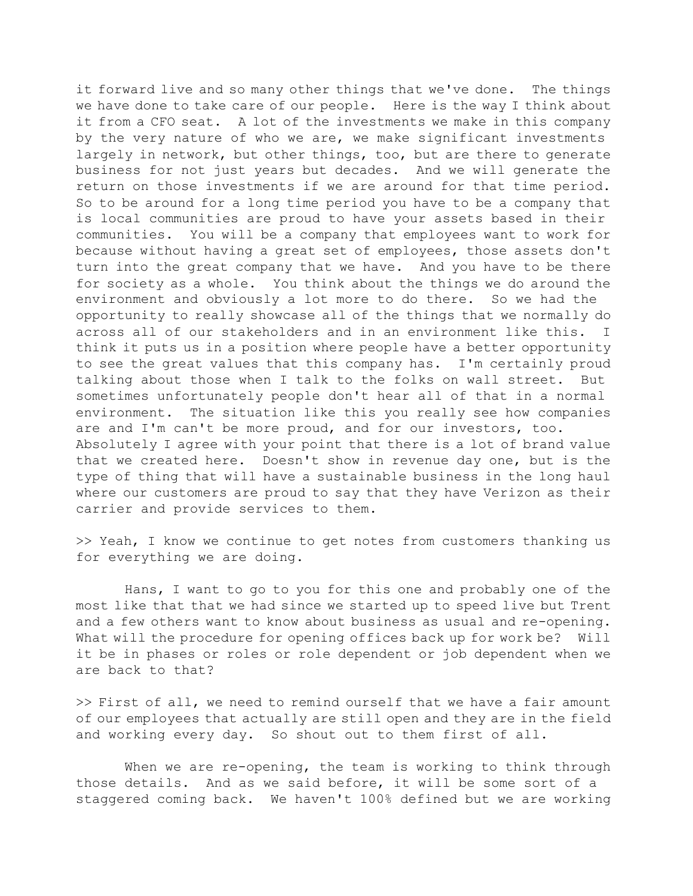it forward live and so many other things that we've done. The things we have done to take care of our people. Here is the way I think about it from a CFO seat. A lot of the investments we make in this company by the very nature of who we are, we make significant investments largely in network, but other things, too, but are there to generate business for not just years but decades. And we will generate the return on those investments if we are around for that time period. So to be around for a long time period you have to be a company that is local communities are proud to have your assets based in their communities. You will be a company that employees want to work for because without having a great set of employees, those assets don't turn into the great company that we have. And you have to be there for society as a whole. You think about the things we do around the environment and obviously a lot more to do there. So we had the opportunity to really showcase all of the things that we normally do across all of our stakeholders and in an environment like this. I think it puts us in a position where people have a better opportunity to see the great values that this company has. I'm certainly proud talking about those when I talk to the folks on wall street. But sometimes unfortunately people don't hear all of that in a normal environment. The situation like this you really see how companies are and I'm can't be more proud, and for our investors, too. Absolutely I agree with your point that there is a lot of brand value that we created here. Doesn't show in revenue day one, but is the type of thing that will have a sustainable business in the long haul where our customers are proud to say that they have Verizon as their carrier and provide services to them.

>> Yeah, I know we continue to get notes from customers thanking us for everything we are doing.

 Hans, I want to go to you for this one and probably one of the most like that that we had since we started up to speed live but Trent and a few others want to know about business as usual and re-opening. What will the procedure for opening offices back up for work be? Will it be in phases or roles or role dependent or job dependent when we are back to that?

>> First of all, we need to remind ourself that we have a fair amount of our employees that actually are still open and they are in the field and working every day. So shout out to them first of all.

When we are re-opening, the team is working to think through those details. And as we said before, it will be some sort of a staggered coming back. We haven't 100% defined but we are working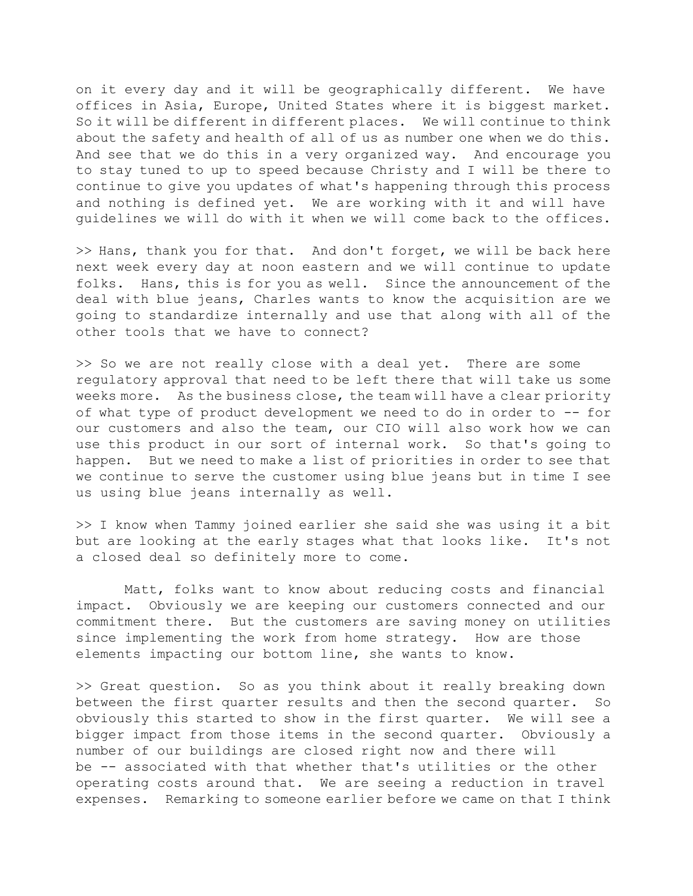on it every day and it will be geographically different. We have offices in Asia, Europe, United States where it is biggest market. So it will be different in different places. We will continue to think about the safety and health of all of us as number one when we do this. And see that we do this in a very organized way. And encourage you to stay tuned to up to speed because Christy and I will be there to continue to give you updates of what's happening through this process and nothing is defined yet. We are working with it and will have guidelines we will do with it when we will come back to the offices.

>> Hans, thank you for that. And don't forget, we will be back here next week every day at noon eastern and we will continue to update folks. Hans, this is for you as well. Since the announcement of the deal with blue jeans, Charles wants to know the acquisition are we going to standardize internally and use that along with all of the other tools that we have to connect?

>> So we are not really close with a deal yet. There are some regulatory approval that need to be left there that will take us some weeks more. As the business close, the team will have a clear priority of what type of product development we need to do in order to -- for our customers and also the team, our CIO will also work how we can use this product in our sort of internal work. So that's going to happen. But we need to make a list of priorities in order to see that we continue to serve the customer using blue jeans but in time I see us using blue jeans internally as well.

>> I know when Tammy joined earlier she said she was using it a bit but are looking at the early stages what that looks like. It's not a closed deal so definitely more to come.

 Matt, folks want to know about reducing costs and financial impact. Obviously we are keeping our customers connected and our commitment there. But the customers are saving money on utilities since implementing the work from home strategy. How are those elements impacting our bottom line, she wants to know.

>> Great question. So as you think about it really breaking down between the first quarter results and then the second quarter. So obviously this started to show in the first quarter. We will see a bigger impact from those items in the second quarter. Obviously a number of our buildings are closed right now and there will be -- associated with that whether that's utilities or the other operating costs around that. We are seeing a reduction in travel expenses. Remarking to someone earlier before we came on that I think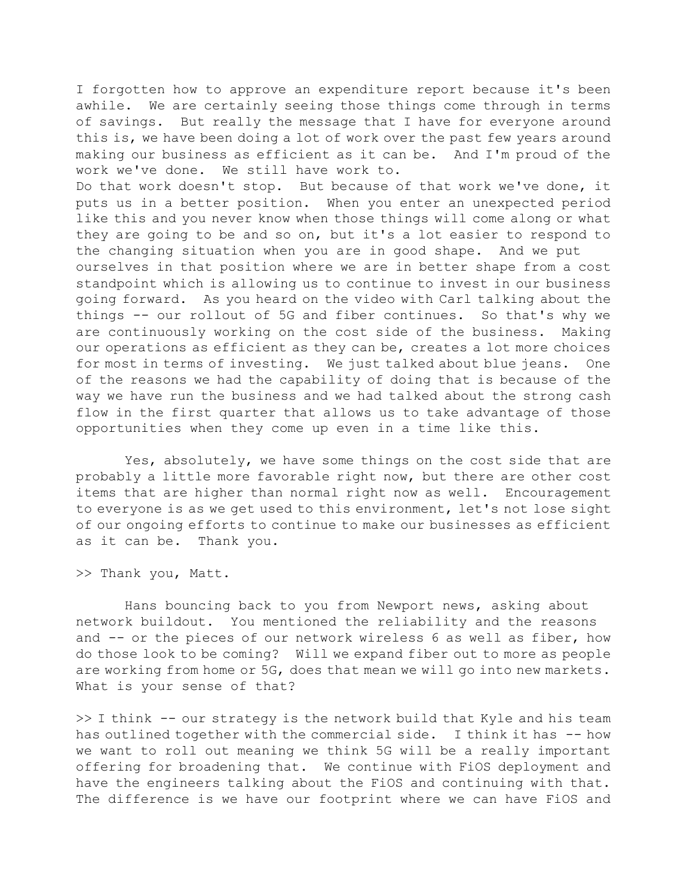I forgotten how to approve an expenditure report because it's been awhile. We are certainly seeing those things come through in terms of savings. But really the message that I have for everyone around this is, we have been doing a lot of work over the past few years around making our business as efficient as it can be. And I'm proud of the work we've done. We still have work to.

Do that work doesn't stop. But because of that work we've done, it puts us in a better position. When you enter an unexpected period like this and you never know when those things will come along or what they are going to be and so on, but it's a lot easier to respond to the changing situation when you are in good shape. And we put ourselves in that position where we are in better shape from a cost standpoint which is allowing us to continue to invest in our business going forward. As you heard on the video with Carl talking about the things -- our rollout of 5G and fiber continues. So that's why we are continuously working on the cost side of the business. Making our operations as efficient as they can be, creates a lot more choices for most in terms of investing. We just talked about blue jeans. One of the reasons we had the capability of doing that is because of the way we have run the business and we had talked about the strong cash flow in the first quarter that allows us to take advantage of those opportunities when they come up even in a time like this.

 Yes, absolutely, we have some things on the cost side that are probably a little more favorable right now, but there are other cost items that are higher than normal right now as well. Encouragement to everyone is as we get used to this environment, let's not lose sight of our ongoing efforts to continue to make our businesses as efficient as it can be. Thank you.

>> Thank you, Matt.

 Hans bouncing back to you from Newport news, asking about network buildout. You mentioned the reliability and the reasons and -- or the pieces of our network wireless 6 as well as fiber, how do those look to be coming? Will we expand fiber out to more as people are working from home or 5G, does that mean we will go into new markets. What is your sense of that?

>> I think -- our strategy is the network build that Kyle and his team has outlined together with the commercial side. I think it has -- how we want to roll out meaning we think 5G will be a really important offering for broadening that. We continue with FiOS deployment and have the engineers talking about the FiOS and continuing with that. The difference is we have our footprint where we can have FiOS and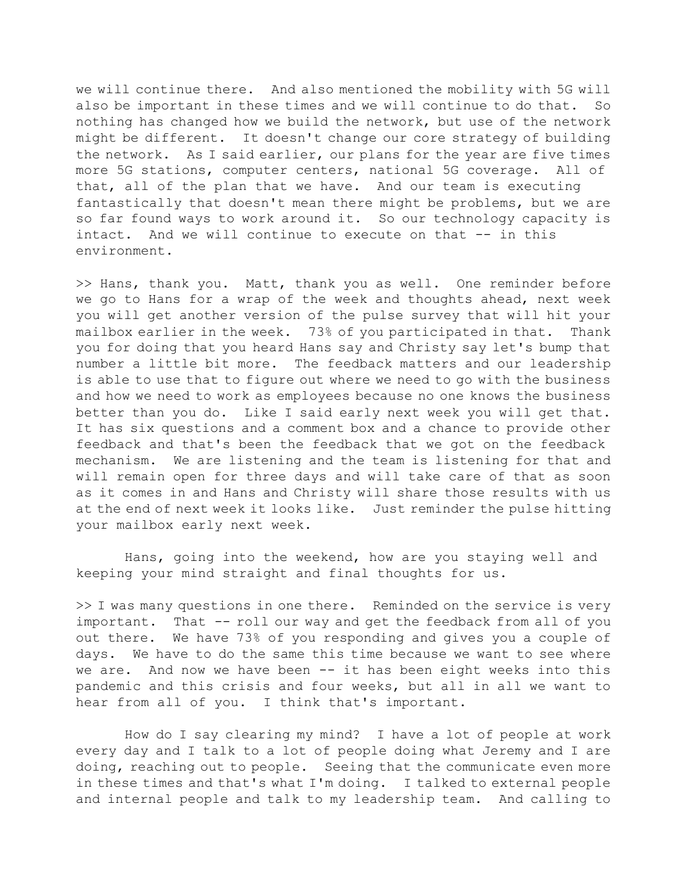we will continue there. And also mentioned the mobility with 5G will also be important in these times and we will continue to do that. So nothing has changed how we build the network, but use of the network might be different. It doesn't change our core strategy of building the network. As I said earlier, our plans for the year are five times more 5G stations, computer centers, national 5G coverage. All of that, all of the plan that we have. And our team is executing fantastically that doesn't mean there might be problems, but we are so far found ways to work around it. So our technology capacity is intact. And we will continue to execute on that -- in this environment.

>> Hans, thank you. Matt, thank you as well. One reminder before we go to Hans for a wrap of the week and thoughts ahead, next week you will get another version of the pulse survey that will hit your mailbox earlier in the week. 73% of you participated in that. Thank you for doing that you heard Hans say and Christy say let's bump that number a little bit more. The feedback matters and our leadership is able to use that to figure out where we need to go with the business and how we need to work as employees because no one knows the business better than you do. Like I said early next week you will get that. It has six questions and a comment box and a chance to provide other feedback and that's been the feedback that we got on the feedback mechanism. We are listening and the team is listening for that and will remain open for three days and will take care of that as soon as it comes in and Hans and Christy will share those results with us at the end of next week it looks like. Just reminder the pulse hitting your mailbox early next week.

 Hans, going into the weekend, how are you staying well and keeping your mind straight and final thoughts for us.

>> I was many questions in one there. Reminded on the service is very important. That -- roll our way and get the feedback from all of you out there. We have 73% of you responding and gives you a couple of days. We have to do the same this time because we want to see where we are. And now we have been -- it has been eight weeks into this pandemic and this crisis and four weeks, but all in all we want to hear from all of you. I think that's important.

 How do I say clearing my mind? I have a lot of people at work every day and I talk to a lot of people doing what Jeremy and I are doing, reaching out to people. Seeing that the communicate even more in these times and that's what I'm doing. I talked to external people and internal people and talk to my leadership team. And calling to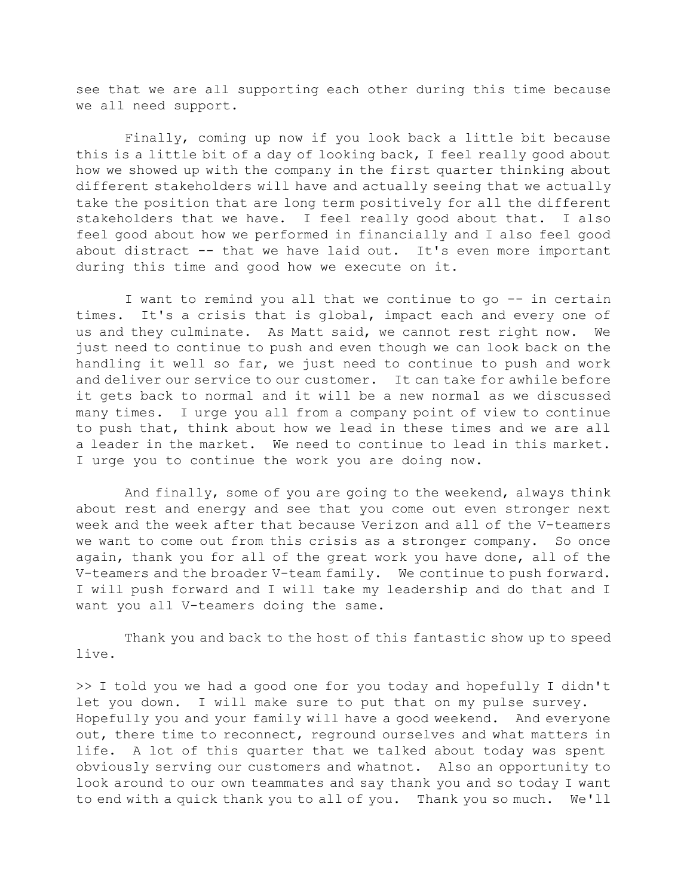see that we are all supporting each other during this time because we all need support.

 Finally, coming up now if you look back a little bit because this is a little bit of a day of looking back, I feel really good about how we showed up with the company in the first quarter thinking about different stakeholders will have and actually seeing that we actually take the position that are long term positively for all the different stakeholders that we have. I feel really good about that. I also feel good about how we performed in financially and I also feel good about distract -- that we have laid out. It's even more important during this time and good how we execute on it.

 I want to remind you all that we continue to go -- in certain times. It's a crisis that is global, impact each and every one of us and they culminate. As Matt said, we cannot rest right now. We just need to continue to push and even though we can look back on the handling it well so far, we just need to continue to push and work and deliver our service to our customer. It can take for awhile before it gets back to normal and it will be a new normal as we discussed many times. I urge you all from a company point of view to continue to push that, think about how we lead in these times and we are all a leader in the market. We need to continue to lead in this market. I urge you to continue the work you are doing now.

 And finally, some of you are going to the weekend, always think about rest and energy and see that you come out even stronger next week and the week after that because Verizon and all of the V-teamers we want to come out from this crisis as a stronger company. So once again, thank you for all of the great work you have done, all of the V-teamers and the broader V-team family. We continue to push forward. I will push forward and I will take my leadership and do that and I want you all V-teamers doing the same.

 Thank you and back to the host of this fantastic show up to speed live.

>> I told you we had a good one for you today and hopefully I didn't let you down. I will make sure to put that on my pulse survey. Hopefully you and your family will have a good weekend. And everyone out, there time to reconnect, reground ourselves and what matters in life. A lot of this quarter that we talked about today was spent obviously serving our customers and whatnot. Also an opportunity to look around to our own teammates and say thank you and so today I want to end with a quick thank you to all of you. Thank you so much. We'll